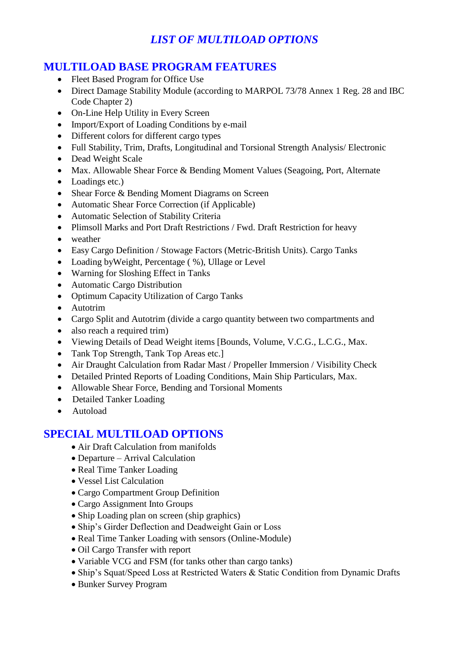# *LIST OF MULTILOAD OPTIONS*

## **MULTILOAD BASE PROGRAM FEATURES**

- Fleet Based Program for Office Use
- Direct Damage Stability Module (according to MARPOL 73/78 Annex 1 Reg. 28 and IBC Code Chapter 2)
- On-Line Help Utility in Every Screen
- Import/Export of Loading Conditions by e-mail
- Different colors for different cargo types
- Full Stability, Trim, Drafts, Longitudinal and Torsional Strength Analysis/ Electronic
- Dead Weight Scale
- Max. Allowable Shear Force & Bending Moment Values (Seagoing, Port, Alternate
- Loadings etc.)
- Shear Force & Bending Moment Diagrams on Screen
- Automatic Shear Force Correction (if Applicable)
- Automatic Selection of Stability Criteria
- Plimsoll Marks and Port Draft Restrictions / Fwd. Draft Restriction for heavy
- weather
- Easy Cargo Definition / Stowage Factors (Metric-British Units). Cargo Tanks
- Loading by Weight, Percentage (%), Ullage or Level
- Warning for Sloshing Effect in Tanks
- Automatic Cargo Distribution
- Optimum Capacity Utilization of Cargo Tanks
- Autotrim
- Cargo Split and Autotrim (divide a cargo quantity between two compartments and
- also reach a required trim)
- Viewing Details of Dead Weight items [Bounds, Volume, V.C.G., L.C.G., Max.
- Tank Top Strength, Tank Top Areas etc.]
- Air Draught Calculation from Radar Mast / Propeller Immersion / Visibility Check
- Detailed Printed Reports of Loading Conditions, Main Ship Particulars, Max.
- Allowable Shear Force, Bending and Torsional Moments
- Detailed Tanker Loading
- Autoload

## **SPECIAL MULTILOAD OPTIONS**

- Air Draft Calculation from manifolds
- Departure Arrival Calculation
- Real Time Tanker Loading
- Vessel List Calculation
- Cargo Compartment Group Definition
- Cargo Assignment Into Groups
- Ship Loading plan on screen (ship graphics)
- Ship's Girder Deflection and Deadweight Gain or Loss
- Real Time Tanker Loading with sensors (Online-Module)
- Oil Cargo Transfer with report
- Variable VCG and FSM (for tanks other than cargo tanks)
- Ship's Squat/Speed Loss at Restricted Waters & Static Condition from Dynamic Drafts
- Bunker Survey Program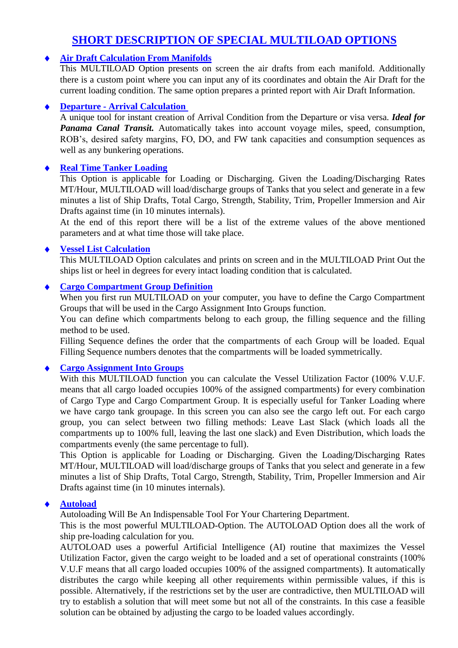## **SHORT DESCRIPTION OF SPECIAL MULTILOAD OPTIONS**

### **Air Draft Calculation From Manifolds**

This MULTILOAD Option presents on screen the air drafts from each manifold. Additionally there is a custom point where you can input any of its coordinates and obtain the Air Draft for the current loading condition. The same option prepares a printed report with Air Draft Information.

#### **Departure - Arrival Calculation**

A unique tool for instant creation of Arrival Condition from the Departure or visa versa. *Ideal for Panama Canal Transit.* Automatically takes into account voyage miles, speed, consumption, ROB's, desired safety margins, FO, DO, and FW tank capacities and consumption sequences as well as any bunkering operations.

### **Real Time Tanker Loading**

This Option is applicable for Loading or Discharging. Given the Loading/Discharging Rates MT/Hour, MULTILOAD will load/discharge groups of Tanks that you select and generate in a few minutes a list of Ship Drafts, Total Cargo, Strength, Stability, Trim, Propeller Immersion and Air Drafts against time (in 10 minutes internals).

At the end of this report there will be a list of the extreme values of the above mentioned parameters and at what time those will take place.

#### **Vessel List Calculation**

This MULTILOAD Option calculates and prints on screen and in the MULTILOAD Print Out the ships list or heel in degrees for every intact loading condition that is calculated.

#### **Cargo Compartment Group Definition**

When you first run MULTILOAD on your computer, you have to define the Cargo Compartment Groups that will be used in the Cargo Assignment Into Groups function.

You can define which compartments belong to each group, the filling sequence and the filling method to be used.

Filling Sequence defines the order that the compartments of each Group will be loaded. Equal Filling Sequence numbers denotes that the compartments will be loaded symmetrically.

### **Cargo Assignment Into Groups**

With this MULTILOAD function you can calculate the Vessel Utilization Factor (100% V.U.F. means that all cargo loaded occupies 100% of the assigned compartments) for every combination of Cargo Type and Cargo Compartment Group. It is especially useful for Tanker Loading where we have cargo tank groupage. In this screen you can also see the cargo left out. For each cargo group, you can select between two filling methods: Leave Last Slack (which loads all the compartments up to 100% full, leaving the last one slack) and Even Distribution, which loads the compartments evenly (the same percentage to full).

This Option is applicable for Loading or Discharging. Given the Loading/Discharging Rates MT/Hour, MULTILOAD will load/discharge groups of Tanks that you select and generate in a few minutes a list of Ship Drafts, Total Cargo, Strength, Stability, Trim, Propeller Immersion and Air Drafts against time (in 10 minutes internals).

#### **Autoload**

Autoloading Will Be An Indispensable Tool For Your Chartering Department.

This is the most powerful MULTILOAD-Option. The AUTOLOAD Option does all the work of ship pre-loading calculation for you.

AUTOLOAD uses a powerful Artificial Intelligence (AI) routine that maximizes the Vessel Utilization Factor, given the cargo weight to be loaded and a set of operational constraints (100% V.U.F means that all cargo loaded occupies 100% of the assigned compartments). It automatically distributes the cargo while keeping all other requirements within permissible values, if this is possible. Alternatively, if the restrictions set by the user are contradictive, then MULTILOAD will try to establish a solution that will meet some but not all of the constraints. In this case a feasible solution can be obtained by adjusting the cargo to be loaded values accordingly.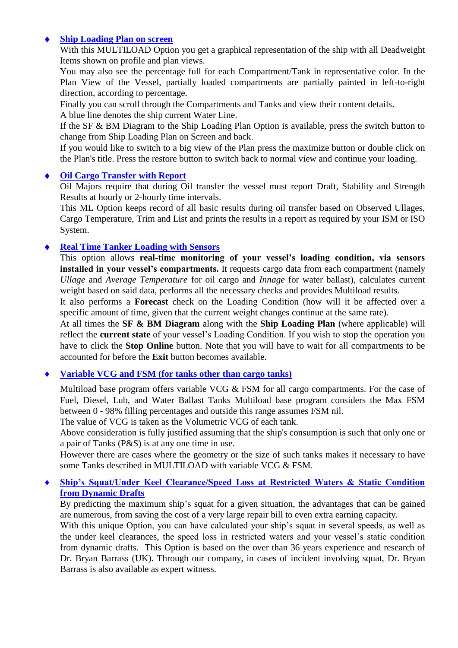## **Ship Loading Plan on screen**

With this MULTILOAD Option you get a graphical representation of the ship with all Deadweight Items shown on profile and plan views.

You may also see the percentage full for each Compartment/Tank in representative color. In the Plan View of the Vessel, partially loaded compartments are partially painted in left-to-right direction, according to percentage.

Finally you can scroll through the Compartments and Tanks and view their content details.

A blue line denotes the ship current Water Line.

If the SF & BM Diagram to the Ship Loading Plan Option is available, press the switch button to change from Ship Loading Plan on Screen and back.

If you would like to switch to a big view of the Plan press the maximize button or double click on the Plan's title. Press the restore button to switch back to normal view and continue your loading.

### **Oil Cargo Transfer with Report**

Oil Majors require that during Oil transfer the vessel must report Draft, Stability and Strength Results at hourly or 2-hourly time intervals.

This ML Option keeps record of all basic results during oil transfer based on Observed Ullages, Cargo Temperature, Trim and List and prints the results in a report as required by your ISM or ISO System.

### **Real Time Tanker Loading with Sensors**

This option allows **real-time monitoring of your vessel's loading condition, via sensors installed in your vessel's compartments.** It requests cargo data from each compartment (namely *Ullage* and *Average Temperature* for oil cargo and *Innage* for water ballast), calculates current weight based on said data, performs all the necessary checks and provides Multiload results.

It also performs a **Forecast** check on the Loading Condition (how will it be affected over a specific amount of time, given that the current weight changes continue at the same rate).

At all times the **SF & BM Diagram** along with the **Ship Loading Plan** (where applicable) will reflect the **current state** of your vessel's Loading Condition. If you wish to stop the operation you have to click the **Stop Online** button. Note that you will have to wait for all compartments to be accounted for before the **Exit** button becomes available.

### **Variable VCG and FSM (for tanks other than cargo tanks)**

Multiload base program offers variable VCG & FSM for all cargo compartments. For the case of Fuel, Diesel, Lub, and Water Ballast Tanks Multiload base program considers the Max FSM between 0 - 98% filling percentages and outside this range assumes FSM nil.

The value of VCG is taken as the Volumetric VCG of each tank.

Above consideration is fully justified assuming that the ship's consumption is such that only one or a pair of Tanks (P&S) is at any one time in use.

However there are cases where the geometry or the size of such tanks makes it necessary to have some Tanks described in MULTILOAD with variable VCG & FSM.

### **Ship's Squat/Under Keel Clearance/Speed Loss at Restricted Waters & Static Condition from Dynamic Drafts**

By predicting the maximum ship's squat for a given situation, the advantages that can be gained are numerous, from saving the cost of a very large repair bill to even extra earning capacity.

With this unique Option, you can have calculated your ship's squat in several speeds, as well as the under keel clearances, the speed loss in restricted waters and your vessel's static condition from dynamic drafts. This Option is based on the over than 36 years experience and research of Dr. Bryan Barrass (UK). Through our company, in cases of incident involving squat, Dr. Bryan Barrass is also available as expert witness.